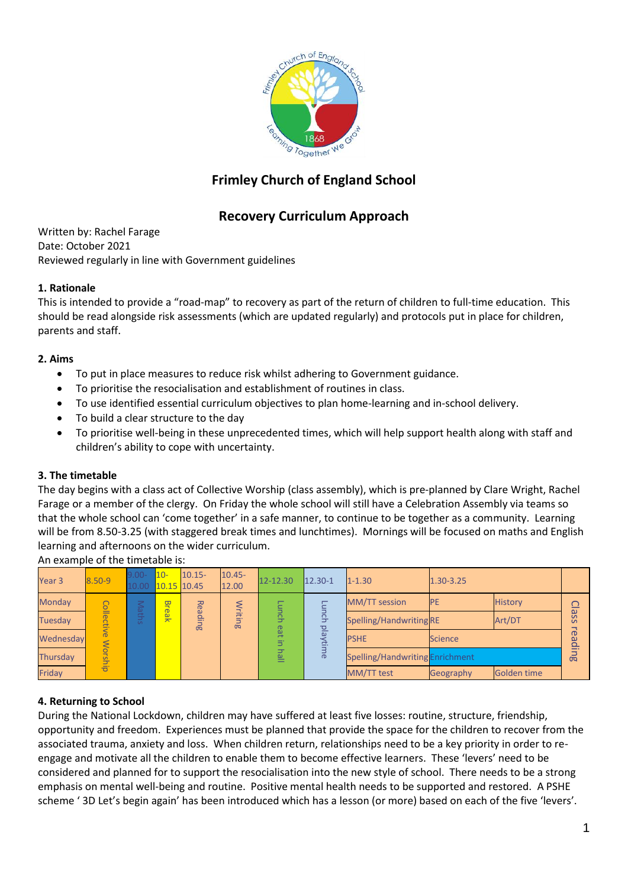

# **Frimley Church of England School**

# **Recovery Curriculum Approach**

Written by: Rachel Farage Date: October 2021 Reviewed regularly in line with Government guidelines

### **1. Rationale**

This is intended to provide a "road-map" to recovery as part of the return of children to full-time education. This should be read alongside risk assessments (which are updated regularly) and protocols put in place for children, parents and staff.

## **2. Aims**

- To put in place measures to reduce risk whilst adhering to Government guidance.
- To prioritise the resocialisation and establishment of routines in class.
- To use identified essential curriculum objectives to plan home-learning and in-school delivery.
- To build a clear structure to the day
- To prioritise well-being in these unprecedented times, which will help support health along with staff and children's ability to cope with uncertainty.

### **3. The timetable**

The day begins with a class act of Collective Worship (class assembly), which is pre-planned by Clare Wright, Rachel Farage or a member of the clergy. On Friday the whole school will still have a Celebration Assembly via teams so that the whole school can 'come together' in a safe manner, to continue to be together as a community. Learning will be from 8.50-3.25 (with staggered break times and lunchtimes). Mornings will be focused on maths and English learning and afternoons on the wider curriculum.

10- 10.15- 10.45- Year 3  $\overline{8.50-9}$  $12.00$   $12-12.30$   $12.30-1$   $1-1.30$   $1.30-3.25$ 10.15 10.45 10.00 Break MM/TT session PE History **Monday** Reading **Class** Monday Contains and Contains are more than the set of the set of the set of the set of the set of the set of the set of the set of the set of the set of the set of the set of the set of the set of the set of the set of the Collective Worship Writing Class reading Lunch eat in hall Lunch playtime readi Wednesday 은 Dealer PSHE Science And Albert PSHE Science Thursday Seconds and Spelling/Handwriting Enrichment<br>Thursday Spelling/Handwriting Enrichment<br>Existence Speelling/Handwriting Enrichment m<br>an Friday MM/TT test Geography Golden time

An example of the timetable is:

# **4. Returning to School**

During the National Lockdown, children may have suffered at least five losses: routine, structure, friendship, opportunity and freedom. Experiences must be planned that provide the space for the children to recover from the associated trauma, anxiety and loss. When children return, relationships need to be a key priority in order to reengage and motivate all the children to enable them to become effective learners. These 'levers' need to be considered and planned for to support the resocialisation into the new style of school. There needs to be a strong emphasis on mental well-being and routine. Positive mental health needs to be supported and restored. A PSHE scheme ' 3D Let's begin again' has been introduced which has a lesson (or more) based on each of the five 'levers'.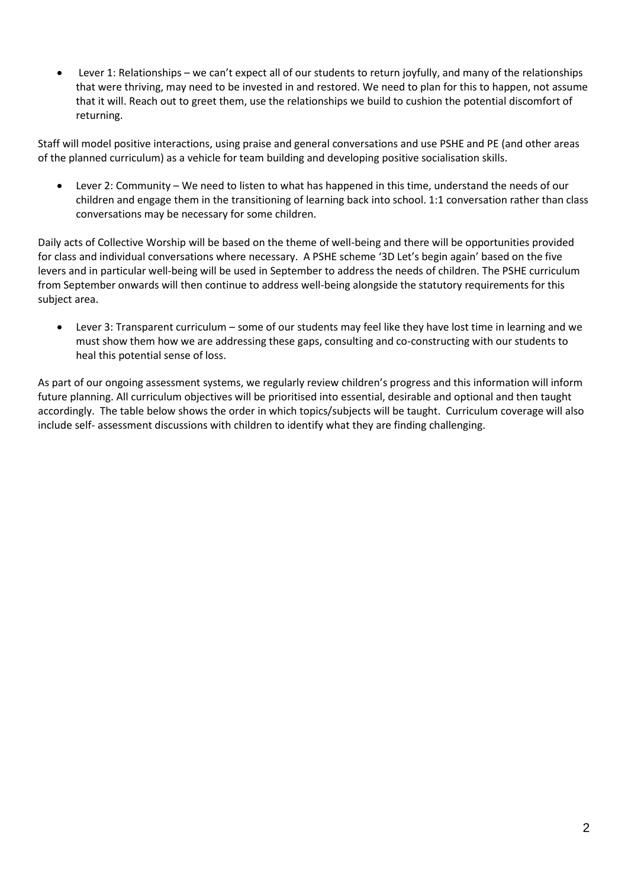Lever 1: Relationships – we can't expect all of our students to return joyfully, and many of the relationships that were thriving, may need to be invested in and restored. We need to plan for this to happen, not assume that it will. Reach out to greet them, use the relationships we build to cushion the potential discomfort of returning.

Staff will model positive interactions, using praise and general conversations and use PSHE and PE (and other areas of the planned curriculum) as a vehicle for team building and developing positive socialisation skills.

 Lever 2: Community – We need to listen to what has happened in this time, understand the needs of our children and engage them in the transitioning of learning back into school. 1:1 conversation rather than class conversations may be necessary for some children.

Daily acts of Collective Worship will be based on the theme of well-being and there will be opportunities provided for class and individual conversations where necessary. A PSHE scheme '3D Let's begin again' based on the five levers and in particular well-being will be used in September to address the needs of children. The PSHE curriculum from September onwards will then continue to address well-being alongside the statutory requirements for this subject area.

 Lever 3: Transparent curriculum – some of our students may feel like they have lost time in learning and we must show them how we are addressing these gaps, consulting and co-constructing with our students to heal this potential sense of loss.

As part of our ongoing assessment systems, we regularly review children's progress and this information will inform future planning. All curriculum objectives will be prioritised into essential, desirable and optional and then taught accordingly. The table below shows the order in which topics/subjects will be taught. Curriculum coverage will also include self- assessment discussions with children to identify what they are finding challenging.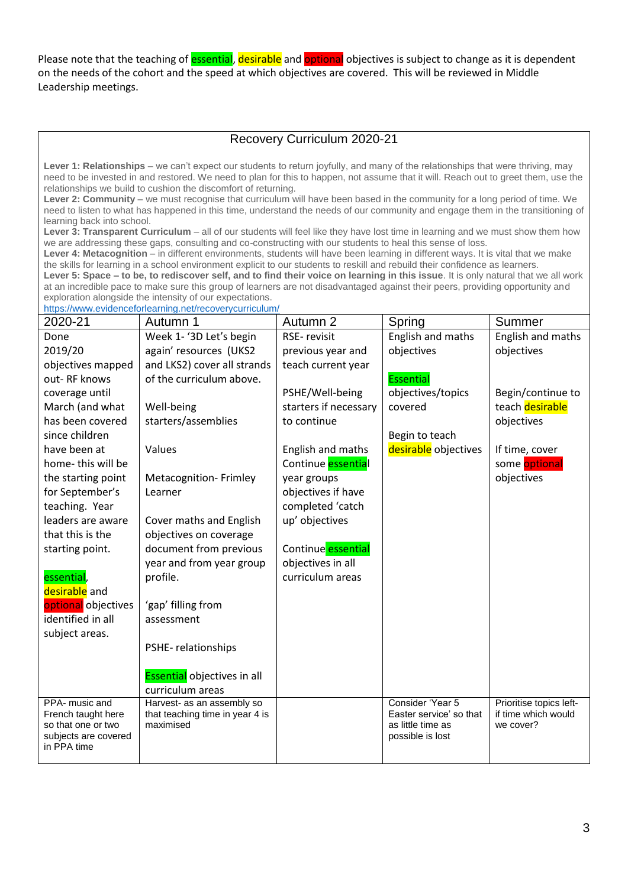Please note that the teaching of **essential**, desirable and optional objectives is subject to change as it is dependent on the needs of the cohort and the speed at which objectives are covered. This will be reviewed in Middle Leadership meetings.

# Recovery Curriculum 2020-21

**Lever 1: Relationships** – we can't expect our students to return joyfully, and many of the relationships that were thriving, may need to be invested in and restored. We need to plan for this to happen, not assume that it will. Reach out to greet them, use the relationships we build to cushion the discomfort of returning.

**Lever 2: Community** – we must recognise that curriculum will have been based in the community for a long period of time. We need to listen to what has happened in this time, understand the needs of our community and engage them in the transitioning of learning back into school.

**Lever 3: Transparent Curriculum** – all of our students will feel like they have lost time in learning and we must show them how we are addressing these gaps, consulting and co-constructing with our students to heal this sense of loss.

Lever 4: Metacognition – in different environments, students will have been learning in different ways. It is vital that we make the skills for learning in a school environment explicit to our students to reskill and rebuild their confidence as learners.

**Lever 5: Space – to be, to rediscover self, and to find their voice on learning in this issue**. It is only natural that we all work at an incredible pace to make sure this group of learners are not disadvantaged against their peers, providing opportunity and exploration alongside the intensity of our expectations.

<https://www.evidenceforlearning.net/recoverycurriculum/>

| 2020-21                             | Autumn 1                                       | Autumn 2                  | Spring                  | Summer                  |
|-------------------------------------|------------------------------------------------|---------------------------|-------------------------|-------------------------|
| Done                                | Week 1-'3D Let's begin                         | RSE-revisit               | English and maths       | English and maths       |
| 2019/20                             | again' resources (UKS2                         | previous year and         | objectives              | objectives              |
| objectives mapped                   | and LKS2) cover all strands                    | teach current year        |                         |                         |
| out-RF knows                        | of the curriculum above.                       |                           | <b>Essential</b>        |                         |
| coverage until                      |                                                | PSHE/Well-being           | objectives/topics       | Begin/continue to       |
| March (and what                     | Well-being                                     | starters if necessary     | covered                 | teach desirable         |
| has been covered                    | starters/assemblies                            | to continue               |                         | objectives              |
| since children                      |                                                |                           | Begin to teach          |                         |
| have been at                        | Values                                         | English and maths         | desirable objectives    | If time, cover          |
| home-this will be                   |                                                | Continue <b>essential</b> |                         | some optional           |
| the starting point                  | <b>Metacognition-Frimley</b>                   | year groups               |                         | objectives              |
| for September's                     | Learner                                        | objectives if have        |                         |                         |
| teaching. Year                      |                                                | completed 'catch          |                         |                         |
| leaders are aware                   | Cover maths and English                        | up' objectives            |                         |                         |
| that this is the                    | objectives on coverage                         |                           |                         |                         |
| starting point.                     | document from previous                         | Continue essential        |                         |                         |
|                                     | year and from year group                       | objectives in all         |                         |                         |
| essential,                          | profile.                                       | curriculum areas          |                         |                         |
| desirable and                       |                                                |                           |                         |                         |
| optional objectives                 | 'gap' filling from                             |                           |                         |                         |
| identified in all                   | assessment                                     |                           |                         |                         |
| subject areas.                      |                                                |                           |                         |                         |
|                                     | PSHE-relationships                             |                           |                         |                         |
|                                     |                                                |                           |                         |                         |
|                                     | Essential objectives in all                    |                           |                         |                         |
| PPA- music and                      | curriculum areas<br>Harvest- as an assembly so |                           | Consider 'Year 5        | Prioritise topics left- |
| French taught here                  | that teaching time in year 4 is                |                           | Easter service' so that | if time which would     |
| so that one or two                  | maximised                                      |                           | as little time as       | we cover?               |
| subjects are covered<br>in PPA time |                                                |                           | possible is lost        |                         |
|                                     |                                                |                           |                         |                         |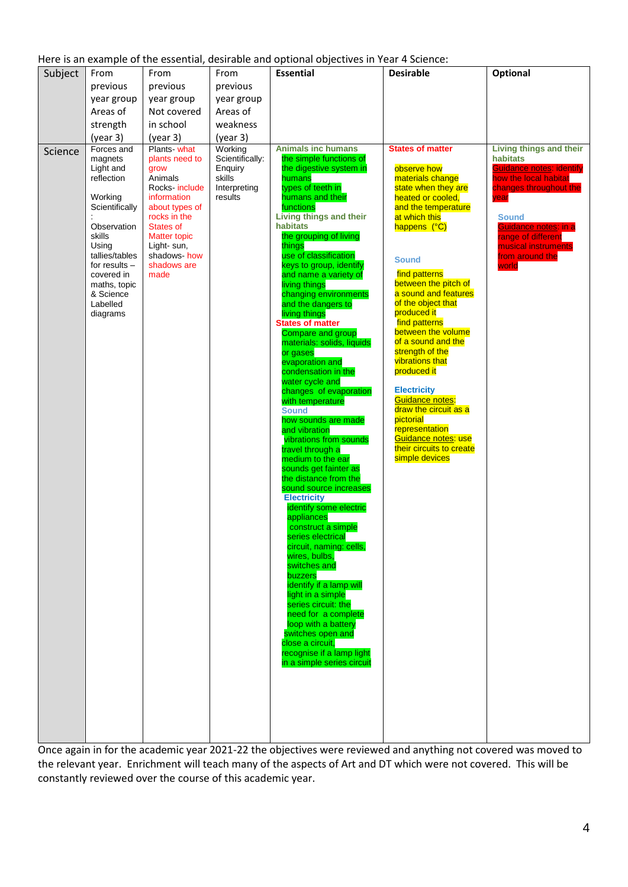|  |  |  | Here is an example of the essential, desirable and optional objectives in Year 4 Science: |
|--|--|--|-------------------------------------------------------------------------------------------|
|  |  |  |                                                                                           |

Once again in for the academic year 2021-22 the objectives were reviewed and anything not covered was moved to the relevant year. Enrichment will teach many of the aspects of Art and DT which were not covered. This will be constantly reviewed over the course of this academic year.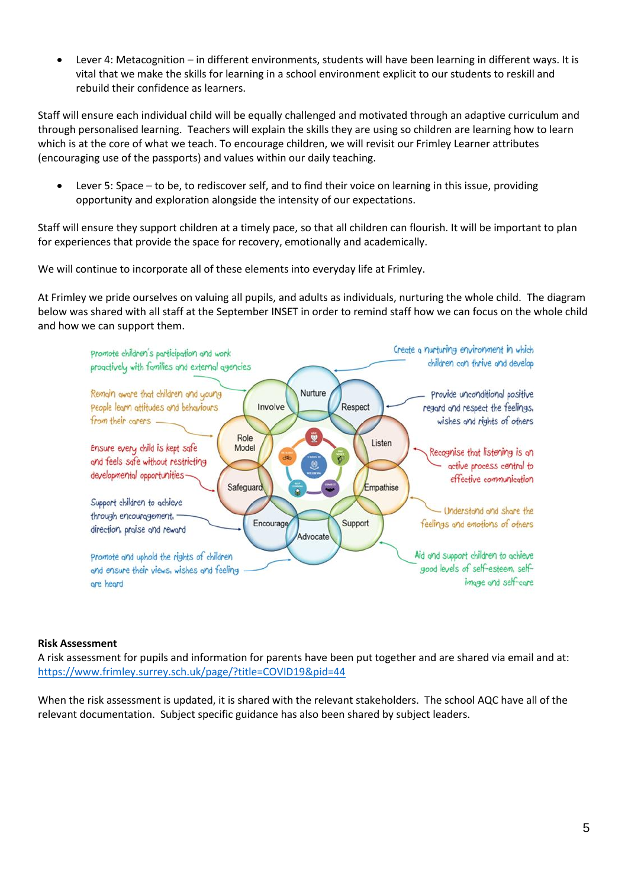Lever 4: Metacognition – in different environments, students will have been learning in different ways. It is vital that we make the skills for learning in a school environment explicit to our students to reskill and rebuild their confidence as learners.

Staff will ensure each individual child will be equally challenged and motivated through an adaptive curriculum and through personalised learning. Teachers will explain the skills they are using so children are learning how to learn which is at the core of what we teach. To encourage children, we will revisit our Frimley Learner attributes (encouraging use of the passports) and values within our daily teaching.

 Lever 5: Space – to be, to rediscover self, and to find their voice on learning in this issue, providing opportunity and exploration alongside the intensity of our expectations.

Staff will ensure they support children at a timely pace, so that all children can flourish. It will be important to plan for experiences that provide the space for recovery, emotionally and academically.

We will continue to incorporate all of these elements into everyday life at Frimley.

At Frimley we pride ourselves on valuing all pupils, and adults as individuals, nurturing the whole child. The diagram below was shared with all staff at the September INSET in order to remind staff how we can focus on the whole child and how we can support them.



#### **Risk Assessment**

A risk assessment for pupils and information for parents have been put together and are shared via email and at: <https://www.frimley.surrey.sch.uk/page/?title=COVID19&pid=44>

When the risk assessment is updated, it is shared with the relevant stakeholders. The school AQC have all of the relevant documentation. Subject specific guidance has also been shared by subject leaders.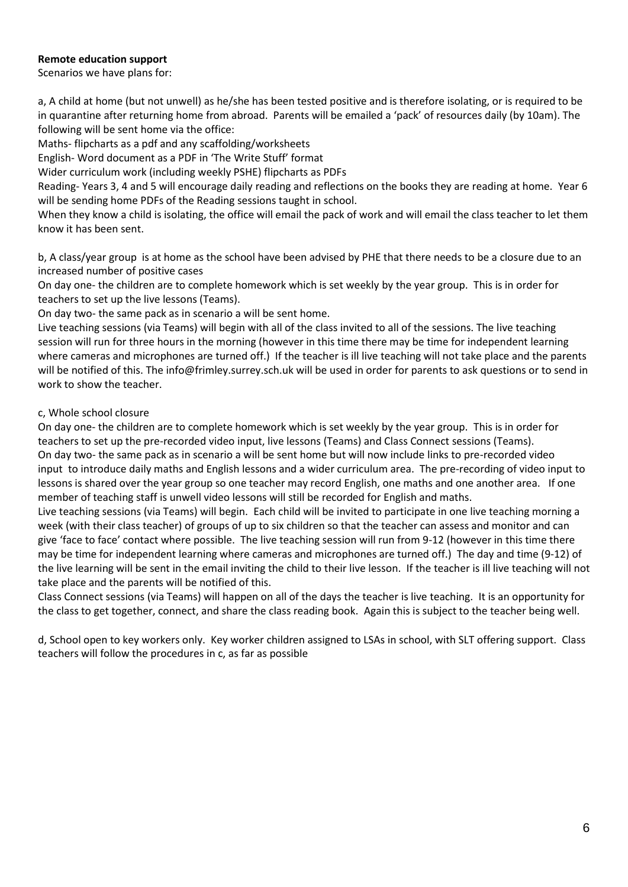### **Remote education support**

Scenarios we have plans for:

a, A child at home (but not unwell) as he/she has been tested positive and is therefore isolating, or is required to be in quarantine after returning home from abroad. Parents will be emailed a 'pack' of resources daily (by 10am). The following will be sent home via the office:

Maths- flipcharts as a pdf and any scaffolding/worksheets

English- Word document as a PDF in 'The Write Stuff' format

Wider curriculum work (including weekly PSHE) flipcharts as PDFs

Reading- Years 3, 4 and 5 will encourage daily reading and reflections on the books they are reading at home. Year 6 will be sending home PDFs of the Reading sessions taught in school.

When they know a child is isolating, the office will email the pack of work and will email the class teacher to let them know it has been sent.

b, A class/year group is at home as the school have been advised by PHE that there needs to be a closure due to an increased number of positive cases

On day one- the children are to complete homework which is set weekly by the year group. This is in order for teachers to set up the live lessons (Teams).

On day two- the same pack as in scenario a will be sent home.

Live teaching sessions (via Teams) will begin with all of the class invited to all of the sessions. The live teaching session will run for three hours in the morning (however in this time there may be time for independent learning where cameras and microphones are turned off.) If the teacher is ill live teaching will not take place and the parents will be notified of this. The info@frimley.surrey.sch.uk will be used in order for parents to ask questions or to send in work to show the teacher.

#### c, Whole school closure

On day one- the children are to complete homework which is set weekly by the year group. This is in order for teachers to set up the pre-recorded video input, live lessons (Teams) and Class Connect sessions (Teams). On day two- the same pack as in scenario a will be sent home but will now include links to pre-recorded video input to introduce daily maths and English lessons and a wider curriculum area. The pre-recording of video input to lessons is shared over the year group so one teacher may record English, one maths and one another area. If one member of teaching staff is unwell video lessons will still be recorded for English and maths.

Live teaching sessions (via Teams) will begin. Each child will be invited to participate in one live teaching morning a week (with their class teacher) of groups of up to six children so that the teacher can assess and monitor and can give 'face to face' contact where possible. The live teaching session will run from 9-12 (however in this time there may be time for independent learning where cameras and microphones are turned off.) The day and time (9-12) of the live learning will be sent in the email inviting the child to their live lesson. If the teacher is ill live teaching will not take place and the parents will be notified of this.

Class Connect sessions (via Teams) will happen on all of the days the teacher is live teaching. It is an opportunity for the class to get together, connect, and share the class reading book. Again this is subject to the teacher being well.

d, School open to key workers only. Key worker children assigned to LSAs in school, with SLT offering support. Class teachers will follow the procedures in c, as far as possible